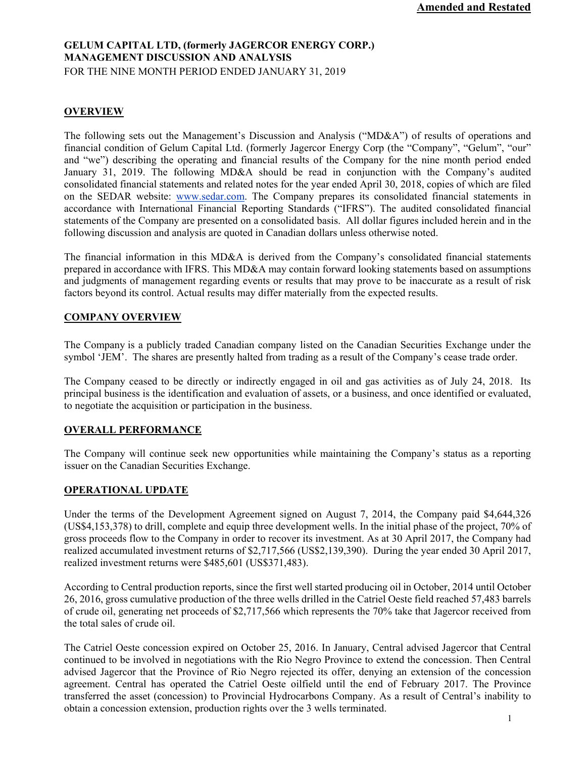# **GELUM CAPITAL LTD, (formerly JAGERCOR ENERGY CORP.) MANAGEMENT DISCUSSION AND ANALYSIS** FOR THE NINE MONTH PERIOD ENDED JANUARY 31, 2019

# **OVERVIEW**

The following sets out the Management's Discussion and Analysis ("MD&A") of results of operations and financial condition of Gelum Capital Ltd. (formerly Jagercor Energy Corp (the "Company", "Gelum", "our" and "we") describing the operating and financial results of the Company for the nine month period ended January 31, 2019. The following MD&A should be read in conjunction with the Company's audited consolidated financial statements and related notes for the year ended April 30, 2018, copies of which are filed on the SEDAR website: www.sedar.com. The Company prepares its consolidated financial statements in accordance with International Financial Reporting Standards ("IFRS"). The audited consolidated financial statements of the Company are presented on a consolidated basis. All dollar figures included herein and in the following discussion and analysis are quoted in Canadian dollars unless otherwise noted.

The financial information in this MD&A is derived from the Company's consolidated financial statements prepared in accordance with IFRS. This MD&A may contain forward looking statements based on assumptions and judgments of management regarding events or results that may prove to be inaccurate as a result of risk factors beyond its control. Actual results may differ materially from the expected results.

### **COMPANY OVERVIEW**

The Company is a publicly traded Canadian company listed on the Canadian Securities Exchange under the symbol 'JEM'. The shares are presently halted from trading as a result of the Company's cease trade order.

The Company ceased to be directly or indirectly engaged in oil and gas activities as of July 24, 2018. Its principal business is the identification and evaluation of assets, or a business, and once identified or evaluated, to negotiate the acquisition or participation in the business.

## **OVERALL PERFORMANCE**

The Company will continue seek new opportunities while maintaining the Company's status as a reporting issuer on the Canadian Securities Exchange.

## **OPERATIONAL UPDATE**

Under the terms of the Development Agreement signed on August 7, 2014, the Company paid \$4,644,326 (US\$4,153,378) to drill, complete and equip three development wells. In the initial phase of the project, 70% of gross proceeds flow to the Company in order to recover its investment. As at 30 April 2017, the Company had realized accumulated investment returns of \$2,717,566 (US\$2,139,390). During the year ended 30 April 2017, realized investment returns were \$485,601 (US\$371,483).

According to Central production reports, since the first well started producing oil in October, 2014 until October 26, 2016, gross cumulative production of the three wells drilled in the Catriel Oeste field reached 57,483 barrels of crude oil, generating net proceeds of \$2,717,566 which represents the 70% take that Jagercor received from the total sales of crude oil.

The Catriel Oeste concession expired on October 25, 2016. In January, Central advised Jagercor that Central continued to be involved in negotiations with the Rio Negro Province to extend the concession. Then Central advised Jagercor that the Province of Rio Negro rejected its offer, denying an extension of the concession agreement. Central has operated the Catriel Oeste oilfield until the end of February 2017. The Province transferred the asset (concession) to Provincial Hydrocarbons Company. As a result of Central's inability to obtain a concession extension, production rights over the 3 wells terminated.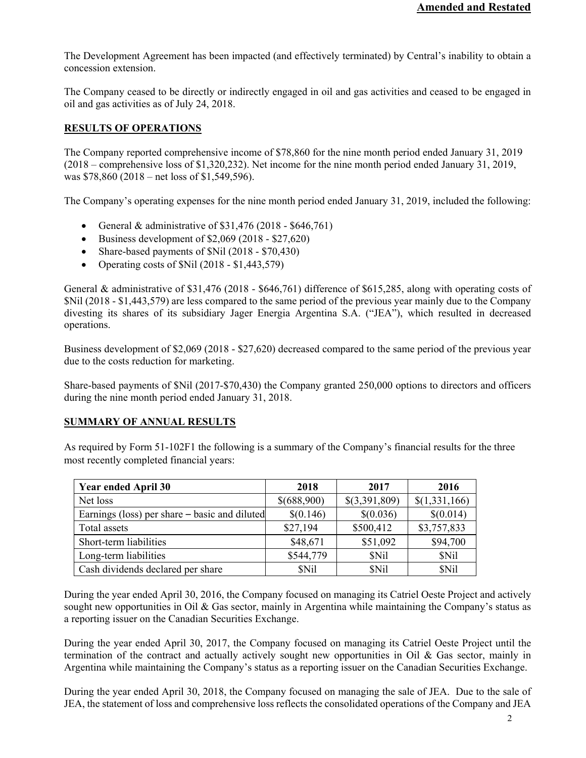The Development Agreement has been impacted (and effectively terminated) by Central's inability to obtain a concession extension.

The Company ceased to be directly or indirectly engaged in oil and gas activities and ceased to be engaged in oil and gas activities as of July 24, 2018.

# **RESULTS OF OPERATIONS**

The Company reported comprehensive income of \$78,860 for the nine month period ended January 31, 2019 (2018 – comprehensive loss of \$1,320,232). Net income for the nine month period ended January 31, 2019, was \$78,860 (2018 – net loss of \$1,549,596).

The Company's operating expenses for the nine month period ended January 31, 2019, included the following:

- General & administrative of  $$31,476 (2018 $646,761)$
- $\bullet$  Business development of \$2,069 (2018 \$27,620)
- Share-based payments of \$Nil (2018 \$70,430)
- Operating costs of  $\text{SNil}$  (2018  $\text{S1,443,579}$ )

General & administrative of \$31,476 (2018 - \$646,761) difference of \$615,285, along with operating costs of \$Nil (2018 - \$1,443,579) are less compared to the same period of the previous year mainly due to the Company divesting its shares of its subsidiary Jager Energia Argentina S.A. ("JEA"), which resulted in decreased operations.

Business development of \$2,069 (2018 - \$27,620) decreased compared to the same period of the previous year due to the costs reduction for marketing.

Share-based payments of \$Nil (2017-\$70,430) the Company granted 250,000 options to directors and officers during the nine month period ended January 31, 2018.

## **SUMMARY OF ANNUAL RESULTS**

As required by Form 51-102F1 the following is a summary of the Company's financial results for the three most recently completed financial years:

| <b>Year ended April 30</b>                    | 2018        | 2017          | 2016          |
|-----------------------------------------------|-------------|---------------|---------------|
| Net loss                                      | \$(688,900) | \$(3,391,809) | \$(1,331,166) |
| Earnings (loss) per share – basic and diluted | \$(0.146)   | \$(0.036)     | \$(0.014)     |
| Total assets                                  | \$27,194    | \$500,412     | \$3,757,833   |
| Short-term liabilities                        | \$48,671    | \$51,092      | \$94,700      |
| Long-term liabilities                         | \$544,779   | <b>SNil</b>   | \$Nil         |
| Cash dividends declared per share             | \$Nil       | \$Nil         | <b>SNil</b>   |

During the year ended April 30, 2016, the Company focused on managing its Catriel Oeste Project and actively sought new opportunities in Oil  $\&$  Gas sector, mainly in Argentina while maintaining the Company's status as a reporting issuer on the Canadian Securities Exchange.

During the year ended April 30, 2017, the Company focused on managing its Catriel Oeste Project until the termination of the contract and actually actively sought new opportunities in Oil & Gas sector, mainly in Argentina while maintaining the Company's status as a reporting issuer on the Canadian Securities Exchange.

During the year ended April 30, 2018, the Company focused on managing the sale of JEA. Due to the sale of JEA, the statement of loss and comprehensive loss reflects the consolidated operations of the Company and JEA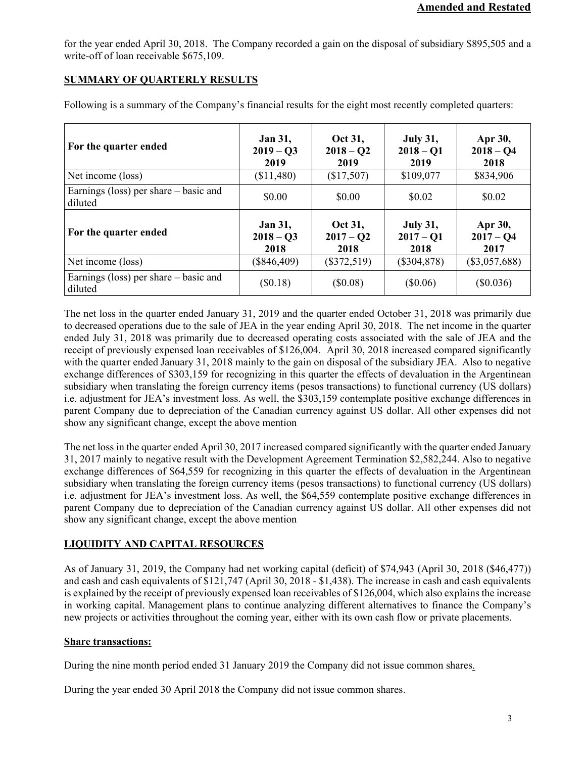for the year ended April 30, 2018. The Company recorded a gain on the disposal of subsidiary \$895,505 and a write-off of loan receivable \$675,109.

# **SUMMARY OF QUARTERLY RESULTS**

| For the quarter ended                            | <b>Jan 31,</b><br>$2019 - Q3$<br>2019 | Oct 31,<br>$2018 - 02$<br>2019 | <b>July 31,</b><br>$2018 - Q1$<br>2019 | Apr 30,<br>$2018 - Q4$<br>2018 |
|--------------------------------------------------|---------------------------------------|--------------------------------|----------------------------------------|--------------------------------|
| Net income (loss)                                | (\$11,480)                            | (\$17,507)                     | \$109,077                              | \$834,906                      |
| Earnings (loss) per share – basic and<br>diluted | \$0.00                                | \$0.00                         | \$0.02                                 | \$0.02                         |
| For the quarter ended                            | <b>Jan 31,</b><br>$2018 - 03$<br>2018 | Oct 31,<br>$2017 - Q2$<br>2018 | <b>July 31,</b><br>$2017 - Q1$<br>2018 | Apr 30,<br>$2017 - Q4$<br>2017 |
| Net income (loss)                                | $(\$846,409)$                         | $(\$372,519)$                  | $(\$304,878)$                          | $(\$3,057,688)$                |
| Earnings (loss) per share – basic and<br>diluted | $(\$0.18)$                            | (\$0.08)                       | (\$0.06)                               | $(\$0.036)$                    |

Following is a summary of the Company's financial results for the eight most recently completed quarters:

The net loss in the quarter ended January 31, 2019 and the quarter ended October 31, 2018 was primarily due to decreased operations due to the sale of JEA in the year ending April 30, 2018. The net income in the quarter ended July 31, 2018 was primarily due to decreased operating costs associated with the sale of JEA and the receipt of previously expensed loan receivables of \$126,004. April 30, 2018 increased compared significantly with the quarter ended January 31, 2018 mainly to the gain on disposal of the subsidiary JEA. Also to negative exchange differences of \$303,159 for recognizing in this quarter the effects of devaluation in the Argentinean subsidiary when translating the foreign currency items (pesos transactions) to functional currency (US dollars) i.e. adjustment for JEA's investment loss. As well, the \$303,159 contemplate positive exchange differences in parent Company due to depreciation of the Canadian currency against US dollar. All other expenses did not show any significant change, except the above mention

The net loss in the quarter ended April 30, 2017 increased compared significantly with the quarter ended January 31, 2017 mainly to negative result with the Development Agreement Termination \$2,582,244. Also to negative exchange differences of \$64,559 for recognizing in this quarter the effects of devaluation in the Argentinean subsidiary when translating the foreign currency items (pesos transactions) to functional currency (US dollars) i.e. adjustment for JEA's investment loss. As well, the \$64,559 contemplate positive exchange differences in parent Company due to depreciation of the Canadian currency against US dollar. All other expenses did not show any significant change, except the above mention

# **LIQUIDITY AND CAPITAL RESOURCES**

As of January 31, 2019, the Company had net working capital (deficit) of \$74,943 (April 30, 2018 (\$46,477)) and cash and cash equivalents of \$121,747 (April 30, 2018 - \$1,438). The increase in cash and cash equivalents is explained by the receipt of previously expensed loan receivables of \$126,004, which also explains the increase in working capital. Management plans to continue analyzing different alternatives to finance the Company's new projects or activities throughout the coming year, either with its own cash flow or private placements.

# **Share transactions:**

During the nine month period ended 31 January 2019 the Company did not issue common shares.

During the year ended 30 April 2018 the Company did not issue common shares.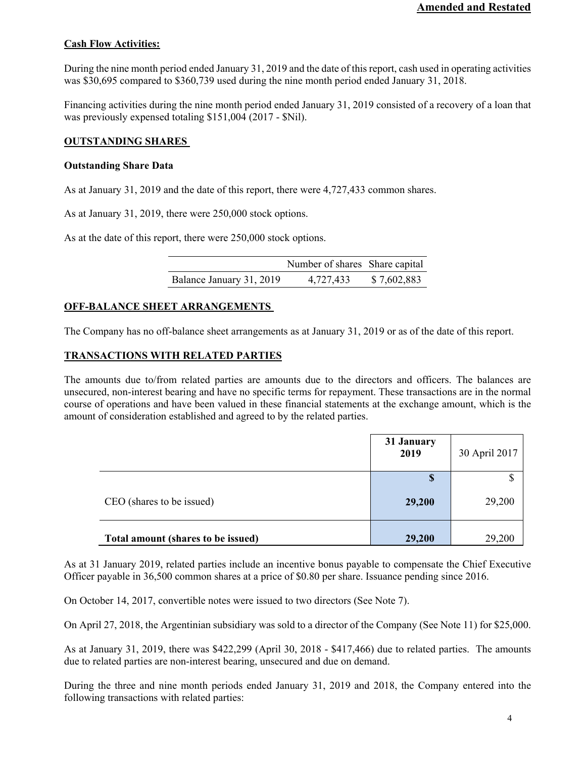# **Cash Flow Activities:**

During the nine month period ended January 31, 2019 and the date of this report, cash used in operating activities was \$30,695 compared to \$360,739 used during the nine month period ended January 31, 2018.

Financing activities during the nine month period ended January 31, 2019 consisted of a recovery of a loan that was previously expensed totaling \$151,004 (2017 - \$Nil).

## **OUTSTANDING SHARES**

## **Outstanding Share Data**

As at January 31, 2019 and the date of this report, there were 4,727,433 common shares.

As at January 31, 2019, there were 250,000 stock options.

As at the date of this report, there were 250,000 stock options.

|                          | Number of shares Share capital |             |
|--------------------------|--------------------------------|-------------|
| Balance January 31, 2019 | 4,727,433                      | \$7,602,883 |

## **OFF-BALANCE SHEET ARRANGEMENTS**

The Company has no off-balance sheet arrangements as at January 31, 2019 or as of the date of this report.

# **TRANSACTIONS WITH RELATED PARTIES**

The amounts due to/from related parties are amounts due to the directors and officers. The balances are unsecured, non-interest bearing and have no specific terms for repayment. These transactions are in the normal course of operations and have been valued in these financial statements at the exchange amount, which is the amount of consideration established and agreed to by the related parties.

|                                    | 31 January<br>2019 | 30 April 2017 |
|------------------------------------|--------------------|---------------|
| CEO (shares to be issued)          | S<br>29,200        | 29,200        |
| Total amount (shares to be issued) | 29,200             | 29,200        |

As at 31 January 2019, related parties include an incentive bonus payable to compensate the Chief Executive Officer payable in 36,500 common shares at a price of \$0.80 per share. Issuance pending since 2016.

On October 14, 2017, convertible notes were issued to two directors (See Note 7).

On April 27, 2018, the Argentinian subsidiary was sold to a director of the Company (See Note 11) for \$25,000.

As at January 31, 2019, there was \$422,299 (April 30, 2018 - \$417,466) due to related parties. The amounts due to related parties are non-interest bearing, unsecured and due on demand.

During the three and nine month periods ended January 31, 2019 and 2018, the Company entered into the following transactions with related parties: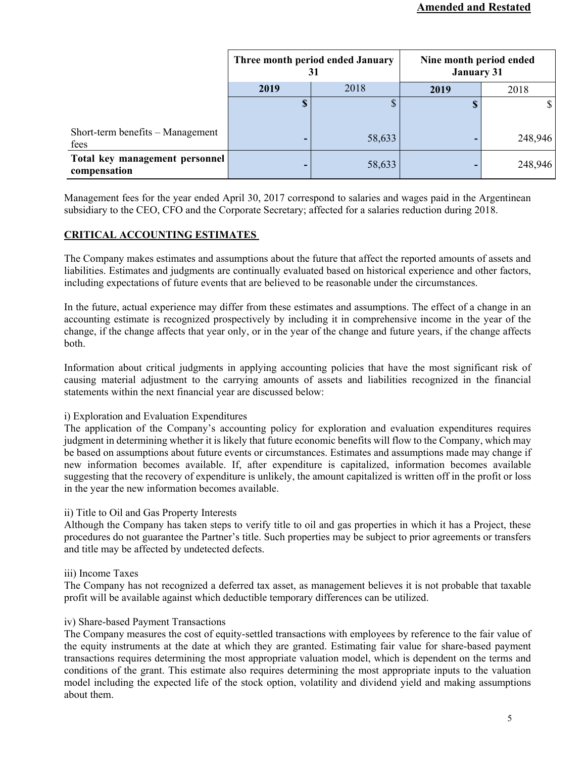|                                                | Three month period ended January<br>31 |        | Nine month period ended<br><b>January 31</b> |              |
|------------------------------------------------|----------------------------------------|--------|----------------------------------------------|--------------|
|                                                | 2019                                   | 2018   | 2019                                         | 2018         |
|                                                | $\boldsymbol{\mathsf{S}}$              | ¢      | D                                            | $\mathbb{S}$ |
| Short-term benefits – Management<br>fees       | ۰                                      | 58,633 |                                              | 248,946      |
| Total key management personnel<br>compensation | ۰                                      | 58,633 | -                                            | 248,946      |

Management fees for the year ended April 30, 2017 correspond to salaries and wages paid in the Argentinean subsidiary to the CEO, CFO and the Corporate Secretary; affected for a salaries reduction during 2018.

# **CRITICAL ACCOUNTING ESTIMATES**

The Company makes estimates and assumptions about the future that affect the reported amounts of assets and liabilities. Estimates and judgments are continually evaluated based on historical experience and other factors, including expectations of future events that are believed to be reasonable under the circumstances.

In the future, actual experience may differ from these estimates and assumptions. The effect of a change in an accounting estimate is recognized prospectively by including it in comprehensive income in the year of the change, if the change affects that year only, or in the year of the change and future years, if the change affects both.

Information about critical judgments in applying accounting policies that have the most significant risk of causing material adjustment to the carrying amounts of assets and liabilities recognized in the financial statements within the next financial year are discussed below:

# i) Exploration and Evaluation Expenditures

The application of the Company's accounting policy for exploration and evaluation expenditures requires judgment in determining whether it is likely that future economic benefits will flow to the Company, which may be based on assumptions about future events or circumstances. Estimates and assumptions made may change if new information becomes available. If, after expenditure is capitalized, information becomes available suggesting that the recovery of expenditure is unlikely, the amount capitalized is written off in the profit or loss in the year the new information becomes available.

## ii) Title to Oil and Gas Property Interests

Although the Company has taken steps to verify title to oil and gas properties in which it has a Project, these procedures do not guarantee the Partner's title. Such properties may be subject to prior agreements or transfers and title may be affected by undetected defects.

## iii) Income Taxes

The Company has not recognized a deferred tax asset, as management believes it is not probable that taxable profit will be available against which deductible temporary differences can be utilized.

## iv) Share-based Payment Transactions

The Company measures the cost of equity-settled transactions with employees by reference to the fair value of the equity instruments at the date at which they are granted. Estimating fair value for share-based payment transactions requires determining the most appropriate valuation model, which is dependent on the terms and conditions of the grant. This estimate also requires determining the most appropriate inputs to the valuation model including the expected life of the stock option, volatility and dividend yield and making assumptions about them.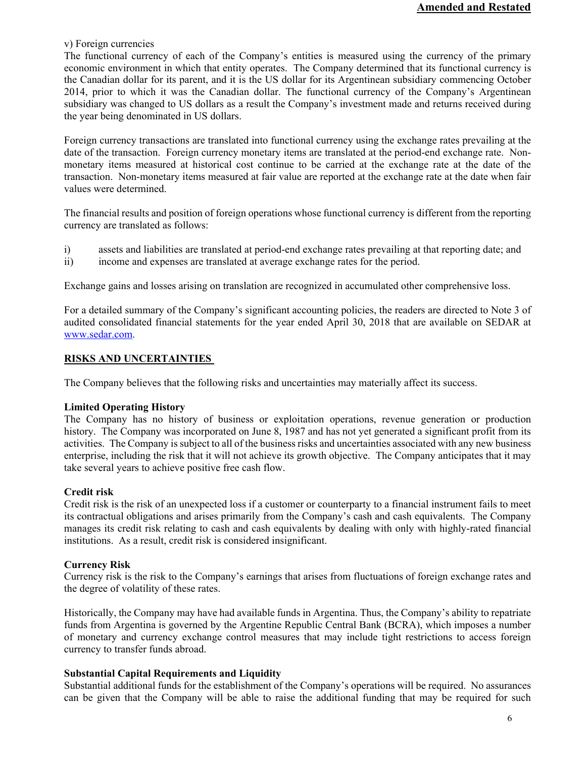v) Foreign currencies

The functional currency of each of the Company's entities is measured using the currency of the primary economic environment in which that entity operates. The Company determined that its functional currency is the Canadian dollar for its parent, and it is the US dollar for its Argentinean subsidiary commencing October 2014, prior to which it was the Canadian dollar. The functional currency of the Company's Argentinean subsidiary was changed to US dollars as a result the Company's investment made and returns received during the year being denominated in US dollars.

Foreign currency transactions are translated into functional currency using the exchange rates prevailing at the date of the transaction. Foreign currency monetary items are translated at the period-end exchange rate. Nonmonetary items measured at historical cost continue to be carried at the exchange rate at the date of the transaction. Non-monetary items measured at fair value are reported at the exchange rate at the date when fair values were determined.

The financial results and position of foreign operations whose functional currency is different from the reporting currency are translated as follows:

- i) assets and liabilities are translated at period-end exchange rates prevailing at that reporting date; and
- ii) income and expenses are translated at average exchange rates for the period.

Exchange gains and losses arising on translation are recognized in accumulated other comprehensive loss.

For a detailed summary of the Company's significant accounting policies, the readers are directed to Note 3 of audited consolidated financial statements for the year ended April 30, 2018 that are available on SEDAR at www.sedar.com.

### **RISKS AND UNCERTAINTIES**

The Company believes that the following risks and uncertainties may materially affect its success.

### **Limited Operating History**

The Company has no history of business or exploitation operations, revenue generation or production history. The Company was incorporated on June 8, 1987 and has not yet generated a significant profit from its activities. The Company is subject to all of the business risks and uncertainties associated with any new business enterprise, including the risk that it will not achieve its growth objective. The Company anticipates that it may take several years to achieve positive free cash flow.

### **Credit risk**

Credit risk is the risk of an unexpected loss if a customer or counterparty to a financial instrument fails to meet its contractual obligations and arises primarily from the Company's cash and cash equivalents. The Company manages its credit risk relating to cash and cash equivalents by dealing with only with highly-rated financial institutions. As a result, credit risk is considered insignificant.

### **Currency Risk**

Currency risk is the risk to the Company's earnings that arises from fluctuations of foreign exchange rates and the degree of volatility of these rates.

Historically, the Company may have had available funds in Argentina. Thus, the Company's ability to repatriate funds from Argentina is governed by the Argentine Republic Central Bank (BCRA), which imposes a number of monetary and currency exchange control measures that may include tight restrictions to access foreign currency to transfer funds abroad.

### **Substantial Capital Requirements and Liquidity**

Substantial additional funds for the establishment of the Company's operations will be required. No assurances can be given that the Company will be able to raise the additional funding that may be required for such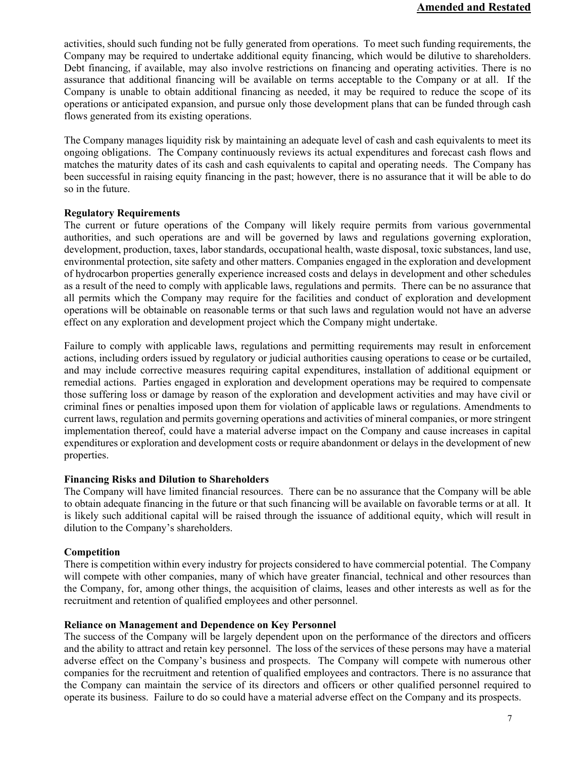activities, should such funding not be fully generated from operations. To meet such funding requirements, the Company may be required to undertake additional equity financing, which would be dilutive to shareholders. Debt financing, if available, may also involve restrictions on financing and operating activities. There is no assurance that additional financing will be available on terms acceptable to the Company or at all. If the Company is unable to obtain additional financing as needed, it may be required to reduce the scope of its operations or anticipated expansion, and pursue only those development plans that can be funded through cash flows generated from its existing operations.

The Company manages liquidity risk by maintaining an adequate level of cash and cash equivalents to meet its ongoing obligations. The Company continuously reviews its actual expenditures and forecast cash flows and matches the maturity dates of its cash and cash equivalents to capital and operating needs. The Company has been successful in raising equity financing in the past; however, there is no assurance that it will be able to do so in the future.

## **Regulatory Requirements**

The current or future operations of the Company will likely require permits from various governmental authorities, and such operations are and will be governed by laws and regulations governing exploration, development, production, taxes, labor standards, occupational health, waste disposal, toxic substances, land use, environmental protection, site safety and other matters. Companies engaged in the exploration and development of hydrocarbon properties generally experience increased costs and delays in development and other schedules as a result of the need to comply with applicable laws, regulations and permits. There can be no assurance that all permits which the Company may require for the facilities and conduct of exploration and development operations will be obtainable on reasonable terms or that such laws and regulation would not have an adverse effect on any exploration and development project which the Company might undertake.

Failure to comply with applicable laws, regulations and permitting requirements may result in enforcement actions, including orders issued by regulatory or judicial authorities causing operations to cease or be curtailed, and may include corrective measures requiring capital expenditures, installation of additional equipment or remedial actions. Parties engaged in exploration and development operations may be required to compensate those suffering loss or damage by reason of the exploration and development activities and may have civil or criminal fines or penalties imposed upon them for violation of applicable laws or regulations. Amendments to current laws, regulation and permits governing operations and activities of mineral companies, or more stringent implementation thereof, could have a material adverse impact on the Company and cause increases in capital expenditures or exploration and development costs or require abandonment or delays in the development of new properties.

### **Financing Risks and Dilution to Shareholders**

The Company will have limited financial resources. There can be no assurance that the Company will be able to obtain adequate financing in the future or that such financing will be available on favorable terms or at all. It is likely such additional capital will be raised through the issuance of additional equity, which will result in dilution to the Company's shareholders.

## **Competition**

There is competition within every industry for projects considered to have commercial potential. The Company will compete with other companies, many of which have greater financial, technical and other resources than the Company, for, among other things, the acquisition of claims, leases and other interests as well as for the recruitment and retention of qualified employees and other personnel.

### **Reliance on Management and Dependence on Key Personnel**

The success of the Company will be largely dependent upon on the performance of the directors and officers and the ability to attract and retain key personnel. The loss of the services of these persons may have a material adverse effect on the Company's business and prospects. The Company will compete with numerous other companies for the recruitment and retention of qualified employees and contractors. There is no assurance that the Company can maintain the service of its directors and officers or other qualified personnel required to operate its business. Failure to do so could have a material adverse effect on the Company and its prospects.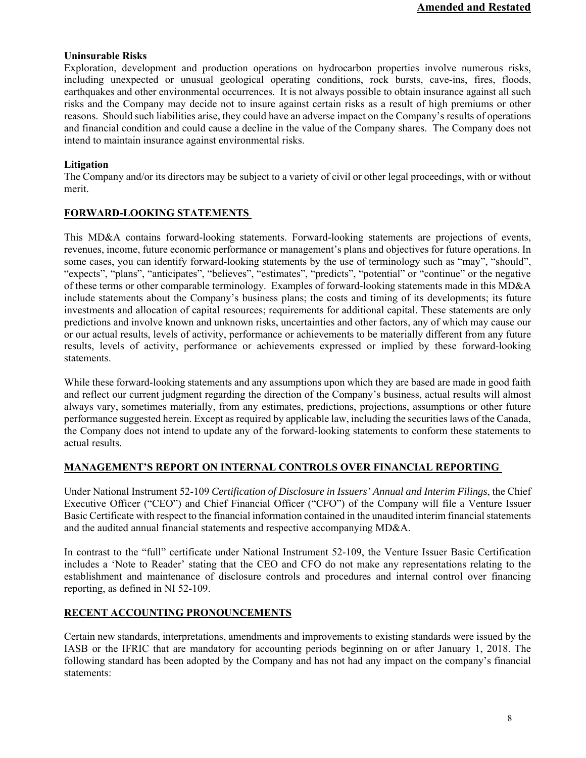# **Uninsurable Risks**

Exploration, development and production operations on hydrocarbon properties involve numerous risks, including unexpected or unusual geological operating conditions, rock bursts, cave-ins, fires, floods, earthquakes and other environmental occurrences. It is not always possible to obtain insurance against all such risks and the Company may decide not to insure against certain risks as a result of high premiums or other reasons. Should such liabilities arise, they could have an adverse impact on the Company's results of operations and financial condition and could cause a decline in the value of the Company shares. The Company does not intend to maintain insurance against environmental risks.

# **Litigation**

The Company and/or its directors may be subject to a variety of civil or other legal proceedings, with or without merit.

# **FORWARD-LOOKING STATEMENTS**

This MD&A contains forward-looking statements. Forward-looking statements are projections of events, revenues, income, future economic performance or management's plans and objectives for future operations. In some cases, you can identify forward-looking statements by the use of terminology such as "may", "should", "expects", "plans", "anticipates", "believes", "estimates", "predicts", "potential" or "continue" or the negative of these terms or other comparable terminology. Examples of forward-looking statements made in this MD&A include statements about the Company's business plans; the costs and timing of its developments; its future investments and allocation of capital resources; requirements for additional capital. These statements are only predictions and involve known and unknown risks, uncertainties and other factors, any of which may cause our or our actual results, levels of activity, performance or achievements to be materially different from any future results, levels of activity, performance or achievements expressed or implied by these forward-looking statements.

While these forward-looking statements and any assumptions upon which they are based are made in good faith and reflect our current judgment regarding the direction of the Company's business, actual results will almost always vary, sometimes materially, from any estimates, predictions, projections, assumptions or other future performance suggested herein. Except as required by applicable law, including the securities laws of the Canada, the Company does not intend to update any of the forward-looking statements to conform these statements to actual results.

# **MANAGEMENT'S REPORT ON INTERNAL CONTROLS OVER FINANCIAL REPORTING**

Under National Instrument 52-109 *Certification of Disclosure in Issuers' Annual and Interim Filings*, the Chief Executive Officer ("CEO") and Chief Financial Officer ("CFO") of the Company will file a Venture Issuer Basic Certificate with respect to the financial information contained in the unaudited interim financial statements and the audited annual financial statements and respective accompanying MD&A.

In contrast to the "full" certificate under National Instrument 52-109, the Venture Issuer Basic Certification includes a 'Note to Reader' stating that the CEO and CFO do not make any representations relating to the establishment and maintenance of disclosure controls and procedures and internal control over financing reporting, as defined in NI 52-109.

# **RECENT ACCOUNTING PRONOUNCEMENTS**

Certain new standards, interpretations, amendments and improvements to existing standards were issued by the IASB or the IFRIC that are mandatory for accounting periods beginning on or after January 1, 2018. The following standard has been adopted by the Company and has not had any impact on the company's financial statements: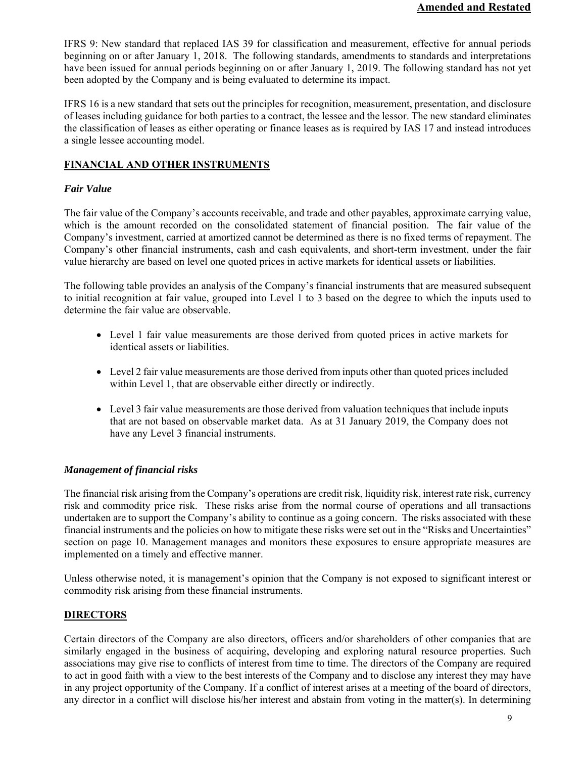IFRS 9: New standard that replaced IAS 39 for classification and measurement, effective for annual periods beginning on or after January 1, 2018. The following standards, amendments to standards and interpretations have been issued for annual periods beginning on or after January 1, 2019. The following standard has not yet been adopted by the Company and is being evaluated to determine its impact.

IFRS 16 is a new standard that sets out the principles for recognition, measurement, presentation, and disclosure of leases including guidance for both parties to a contract, the lessee and the lessor. The new standard eliminates the classification of leases as either operating or finance leases as is required by IAS 17 and instead introduces a single lessee accounting model.

# **FINANCIAL AND OTHER INSTRUMENTS**

# *Fair Value*

The fair value of the Company's accounts receivable, and trade and other payables, approximate carrying value, which is the amount recorded on the consolidated statement of financial position. The fair value of the Company's investment, carried at amortized cannot be determined as there is no fixed terms of repayment. The Company's other financial instruments, cash and cash equivalents, and short-term investment, under the fair value hierarchy are based on level one quoted prices in active markets for identical assets or liabilities.

The following table provides an analysis of the Company's financial instruments that are measured subsequent to initial recognition at fair value, grouped into Level 1 to 3 based on the degree to which the inputs used to determine the fair value are observable.

- Level 1 fair value measurements are those derived from quoted prices in active markets for identical assets or liabilities.
- Level 2 fair value measurements are those derived from inputs other than quoted prices included within Level 1, that are observable either directly or indirectly.
- Level 3 fair value measurements are those derived from valuation techniques that include inputs that are not based on observable market data. As at 31 January 2019, the Company does not have any Level 3 financial instruments.

# *Management of financial risks*

The financial risk arising from the Company's operations are credit risk, liquidity risk, interest rate risk, currency risk and commodity price risk. These risks arise from the normal course of operations and all transactions undertaken are to support the Company's ability to continue as a going concern. The risks associated with these financial instruments and the policies on how to mitigate these risks were set out in the "Risks and Uncertainties" section on page 10. Management manages and monitors these exposures to ensure appropriate measures are implemented on a timely and effective manner.

Unless otherwise noted, it is management's opinion that the Company is not exposed to significant interest or commodity risk arising from these financial instruments.

# **DIRECTORS**

Certain directors of the Company are also directors, officers and/or shareholders of other companies that are similarly engaged in the business of acquiring, developing and exploring natural resource properties. Such associations may give rise to conflicts of interest from time to time. The directors of the Company are required to act in good faith with a view to the best interests of the Company and to disclose any interest they may have in any project opportunity of the Company. If a conflict of interest arises at a meeting of the board of directors, any director in a conflict will disclose his/her interest and abstain from voting in the matter(s). In determining